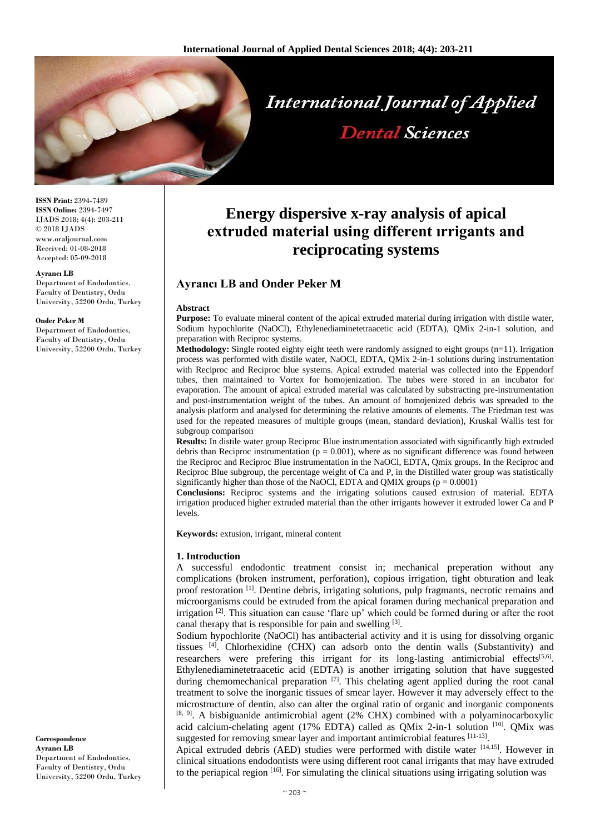

**ISSN Print:** 2394-7489 **ISSN Online:** 2394-7497 IJADS 2018; 4(4): 203-211 © 2018 IJADS www.oraljournal.com Received: 01-08-2018 Accepted: 05-09-2018

#### **Ayrancı LB**

Department of Endodontics, Faculty of Dentistry, Ordu University, 52200 Ordu, Turkey

#### **Onder Peker M**

Department of Endodontics, Faculty of Dentistry, Ordu University, 52200 Ordu, Turkey

**Correspondence Ayrancı LB** Department of Endodontics, Faculty of Dentistry, Ordu University, 52200 Ordu, Turkey

# **Energy dispersive x-ray analysis of apical extruded material using different ırrigants and reciprocating systems**

# **Ayrancı LB and Onder Peker M**

#### **Abstract**

**Purpose:** To evaluate mineral content of the apical extruded material during irrigation with distile water, Sodium hypochlorite (NaOCl), Ethylenediaminetetraacetic acid (EDTA), QMix 2-in-1 solution, and preparation with Reciproc systems.

**Methodology:** Single rooted eighty eight teeth were randomly assigned to eight groups (n=11). Irrigation process was performed with distile water, NaOCl, EDTA, QMix 2-in-1 solutions during instrumentation with Reciproc and Reciproc blue systems. Apical extruded material was collected into the Eppendorf tubes, then maintained to Vortex for homojenization. The tubes were stored in an incubator for evaporation. The amount of apical extruded material was calculated by substracting pre-instrumentation and post-instrumentation weight of the tubes. An amount of homojenized debris was spreaded to the analysis platform and analysed for determining the relative amounts of elements. The Friedman test was used for the repeated measures of multiple groups (mean, standard deviation), Kruskal Wallis test for subgroup comparison

**Results:** In distile water group Reciproc Blue instrumentation associated with significantly high extruded debris than Reciproc instrumentation ( $p = 0.001$ ), where as no significant difference was found between the Reciproc and Reciproc Blue instrumentation in the NaOCl, EDTA, Qmix groups. In the Reciproc and Reciproc Blue subgroup, the percentage weight of Ca and P, in the Distilled water group was statistically significantly higher than those of the NaOCl, EDTA and QMIX groups ( $p = 0.0001$ )

**Conclusions:** Reciproc systems and the irrigating solutions caused extrusion of material. EDTA irrigation produced higher extruded material than the other irrigants however it extruded lower Ca and P levels.

**Keywords:** extusion, irrigant, mineral content

#### **1. Introduction**

A successful endodontic treatment consist in; mechanical preperation without any complications (broken instrument, perforation), copious irrigation, tight obturation and leak proof restoration [1]. Dentine debris, irrigating solutions, pulp fragmants, necrotic remains and microorganisms could be extruded from the apical foramen during mechanical preparation and irrigation  $[2]$ . This situation can cause 'flare up' which could be formed during or after the root canal therapy that is responsible for pain and swelling [3].

Sodium hypochlorite (NaOCl) has antibacterial activity and it is using for dissolving organic tissues  $[4]$ . Chlorhexidine (CHX) can adsorb onto the dentin walls (Substantivity) and researchers were prefering this irrigant for its long-lasting antimicrobial effects<sup>[5,6]</sup>. Ethylenediaminetetraacetic acid (EDTA) is another irrigating solution that have suggested during chemomechanical preparation  $\left[\frac{7}{1}\right]$ . This chelating agent applied during the root canal treatment to solve the inorganic tissues of smear layer. However it may adversely effect to the microstructure of dentin, also can alter the orginal ratio of organic and inorganic components  $[8, 9]$ . A bisbiguanide antimicrobial agent (2% CHX) combined with a polyaminocarboxylic acid calcium-chelating agent (17% EDTA) called as QMix 2-in-1 solution [10]. QMix was suggested for removing smear layer and important antimicrobial features [11-13].

Apical extruded debris (AED) studies were performed with distile water [14,15]. However in clinical situations endodontists were using different root canal irrigants that may have extruded to the periapical region [16]. For simulating the clinical situations using irrigating solution was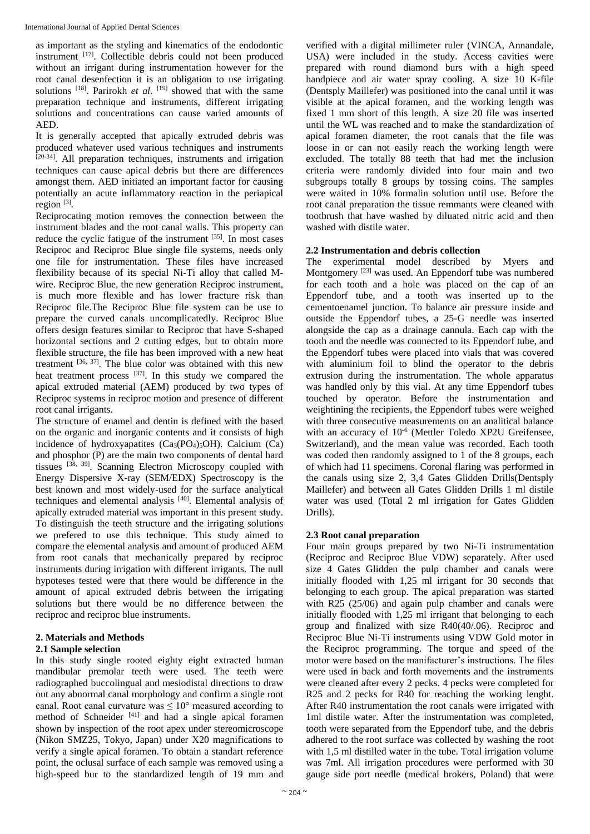as important as the styling and kinematics of the endodontic instrument [17]. Collectible debris could not been produced without an irrigant during instrumentation however for the root canal desenfection it is an obligation to use irrigating solutions <sup>[18]</sup>. Parirokh *et al*. <sup>[19]</sup> showed that with the same preparation technique and instruments, different irrigating solutions and concentrations can cause varied amounts of AED.

It is generally accepted that apically extruded debris was produced whatever used various techniques and instruments [20-34]. All preparation techniques, instruments and irrigation techniques can cause apical debris but there are differences amongst them. AED initiated an important factor for causing potentially an acute inflammatory reaction in the periapical region  $^{[3]}$ .

Reciprocating motion removes the connection between the instrument blades and the root canal walls. This property can reduce the cyclic fatigue of the instrument  $^{[35]}$ . In most cases Reciproc and Reciproc Blue single file systems, needs only one file for instrumentation. These files have increased flexibility because of its special Ni-Ti alloy that called Mwire. Reciproc Blue, the new generation Reciproc instrument, is much more flexible and has lower fracture risk than Reciproc file.The Reciproc Blue file system can be use to prepare the curved canals uncomplicatedly. Reciproc Blue offers design features similar to Reciproc that have S-shaped horizontal sections and 2 cutting edges, but to obtain more flexible structure, the file has been improved with a new heat treatment  $[36, 37]$ . The blue color was obtained with this new heat treatment process <sup>[37]</sup>. In this study we compared the apical extruded material (AEM) produced by two types of Reciproc systems in reciproc motion and presence of different root canal irrigants.

The structure of enamel and dentin is defined with the based on the organic and inorganic contents and it consists of high incidence of hydroxyapatites  $(Ca_3(PO_4)_5OH)$ . Calcium  $(Ca)$ and phosphor (P) are the main two components of dental hard tissues [38, 39]. Scanning Electron Microscopy coupled with Energy Dispersive X-ray (SEM/EDX) Spectroscopy is the best known and most widely-used for the surface analytical techniques and elemental analysis [40]. Elemental analysis of apically extruded material was important in this present study. To distinguish the teeth structure and the irrigating solutions we prefered to use this technique. This study aimed to compare the elemental analysis and amount of produced AEM from root canals that mechanically prepared by reciproc instruments during irrigation with different irrigants. The null hypoteses tested were that there would be difference in the amount of apical extruded debris between the irrigating solutions but there would be no difference between the reciproc and reciproc blue instruments.

# **2. Materials and Methods**

# **2.1 Sample selection**

In this study single rooted eighty eight extracted human mandibular premolar teeth were used. The teeth were radiographed buccolingual and mesiodistal directions to draw out any abnormal canal morphology and confirm a single root canal. Root canal curvature was  $\leq 10^{\circ}$  measured according to method of Schneider  $^{[41]}$  and had a single apical foramen shown by inspection of the root apex under stereomicroscope (Nikon SMZ25, Tokyo, Japan) under X20 magnifications to verify a single apical foramen. To obtain a standart reference point, the oclusal surface of each sample was removed using a high-speed bur to the standardized length of 19 mm and

verified with a digital millimeter ruler (VINCA, Annandale, USA) were included in the study. Access cavities were prepared with round diamond burs with a high speed handpiece and air water spray cooling. A size 10 K-file (Dentsply Maillefer) was positioned into the canal until it was visible at the apical foramen, and the working length was fixed 1 mm short of this length. A size 20 file was inserted until the WL was reached and to make the standardization of apical foramen diameter, the root canals that the file was loose in or can not easily reach the working length were excluded. The totally 88 teeth that had met the inclusion criteria were randomly divided into four main and two subgroups totally 8 groups by tossing coins. The samples were waited in 10% formalin solution until use. Before the root canal preparation the tissue remmants were cleaned with tootbrush that have washed by diluated nitric acid and then washed with distile water.

## **2.2 Instrumentation and debris collection**

The experimental model described by Myers and Montgomery [23] was used. An Eppendorf tube was numbered for each tooth and a hole was placed on the cap of an Eppendorf tube, and a tooth was inserted up to the cementoenamel junction. To balance air pressure inside and outside the Eppendorf tubes, a 25-G needle was inserted alongside the cap as a drainage cannula. Each cap with the tooth and the needle was connected to its Eppendorf tube, and the Eppendorf tubes were placed into vials that was covered with aluminium foil to blind the operator to the debris extrusion during the instrumentation. The whole apparatus was handled only by this vial. At any time Eppendorf tubes touched by operator. Before the instrumentation and weightining the recipients, the Eppendorf tubes were weighed with three consecutive measurements on an analitical balance with an accuracy of 10<sup>-6</sup> (Mettler Toledo XP2U Greifensee, Switzerland), and the mean value was recorded. Each tooth was coded then randomly assigned to 1 of the 8 groups, each of which had 11 specimens. Coronal flaring was performed in the canals using size 2, 3,4 Gates Glidden Drills(Dentsply Maillefer) and between all Gates Glidden Drills 1 ml distile water was used (Total 2 ml irrigation for Gates Glidden Drills).

# **2.3 Root canal preparation**

Four main groups prepared by two Ni-Ti instrumentation (Reciproc and Reciproc Blue VDW) separately. After used size 4 Gates Glidden the pulp chamber and canals were initially flooded with 1,25 ml irrigant for 30 seconds that belonging to each group. The apical preparation was started with R25 (25/06) and again pulp chamber and canals were initially flooded with 1,25 ml irrigant that belonging to each group and finalized with size R40(40/.06). Reciproc and Reciproc Blue Ni-Ti instruments using VDW Gold motor in the Reciproc programming. The torque and speed of the motor were based on the manifacturer's instructions. The files were used in back and forth movements and the instruments were cleaned after every 2 pecks. 4 pecks were completed for R25 and 2 pecks for R40 for reaching the working lenght. After R40 instrumentation the root canals were irrigated with 1ml distile water. After the instrumentation was completed, tooth were separated from the Eppendorf tube, and the debris adhered to the root surface was collected by washing the root with 1,5 ml distilled water in the tube. Total irrigation volume was 7ml. All irrigation procedures were performed with 30 gauge side port needle (medical brokers, Poland) that were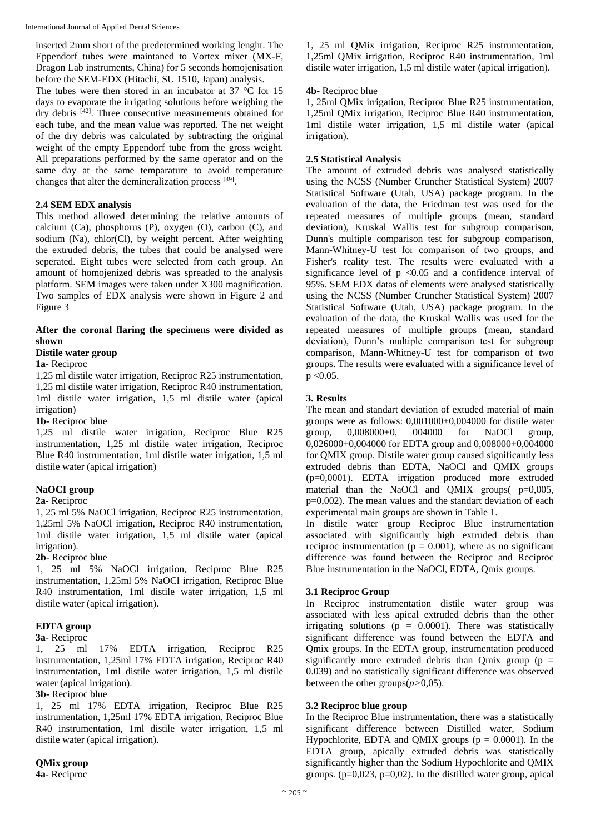inserted 2mm short of the predetermined working lenght. The Eppendorf tubes were maintaned to Vortex mixer (MX-F, Dragon Lab instruments, China) for 5 seconds homojenisation before the SEM-EDX (Hitachi, SU 1510, Japan) analysis.

The tubes were then stored in an incubator at 37 °C for 15 days to evaporate the irrigating solutions before weighing the dry debris [42]. Three consecutive measurements obtained for each tube, and the mean value was reported. The net weight of the dry debris was calculated by subtracting the original weight of the empty Eppendorf tube from the gross weight. All preparations performed by the same operator and on the same day at the same temparature to avoid temperature changes that alter the demineralization process [39].

## **2.4 SEM EDX analysis**

This method allowed determining the relative amounts of calcium (Ca), phosphorus (P), oxygen (O), carbon (C), and sodium (Na), chlor(Cl), by weight percent. After weighting the extruded debris, the tubes that could be analysed were seperated. Eight tubes were selected from each group. An amount of homojenized debris was spreaded to the analysis platform. SEM images were taken under X300 magnification. Two samples of EDX analysis were shown in Figure 2 and Figure 3

#### **After the coronal flaring the specimens were divided as shown**

#### **Distile water group**

**1a**- Reciproc

1,25 ml distile water irrigation, Reciproc R25 instrumentation, 1,25 ml distile water irrigation, Reciproc R40 instrumentation, 1ml distile water irrigation, 1,5 ml distile water (apical irrigation)

**1b-** Reciproc blue

1,25 ml distile water irrigation, Reciproc Blue R25 instrumentation, 1,25 ml distile water irrigation, Reciproc Blue R40 instrumentation, 1ml distile water irrigation, 1,5 ml distile water (apical irrigation)

# **NaOCI group**

#### **2a-** Reciproc

1, 25 ml 5% NaOCl irrigation, Reciproc R25 instrumentation, 1,25ml 5% NaOCl irrigation, Reciproc R40 instrumentation, 1ml distile water irrigation, 1,5 ml distile water (apical irrigation).

#### **2b-** Reciproc blue

1, 25 ml 5% NaOCl irrigation, Reciproc Blue R25 instrumentation, 1,25ml 5% NaOCl irrigation, Reciproc Blue R40 instrumentation, 1ml distile water irrigation, 1,5 ml distile water (apical irrigation).

## **EDTA group**

#### **3a-** Reciproc

1, 25 ml 17% EDTA irrigation, Reciproc R25 instrumentation, 1,25ml 17% EDTA irrigation, Reciproc R40 instrumentation, 1ml distile water irrigation, 1,5 ml distile water (apical irrigation).

#### **3b-** Reciproc blue

1, 25 ml 17% EDTA irrigation, Reciproc Blue R25 instrumentation, 1,25ml 17% EDTA irrigation, Reciproc Blue R40 instrumentation, 1ml distile water irrigation, 1,5 ml distile water (apical irrigation).

**QMix group**

**4a-** Reciproc

1, 25 ml QMix irrigation, Reciproc R25 instrumentation, 1,25ml QMix irrigation, Reciproc R40 instrumentation, 1ml distile water irrigation, 1,5 ml distile water (apical irrigation).

### **4b-** Reciproc blue

1, 25ml QMix irrigation, Reciproc Blue R25 instrumentation, 1,25ml QMix irrigation, Reciproc Blue R40 instrumentation, 1ml distile water irrigation, 1,5 ml distile water (apical irrigation).

## **2.5 Statistical Analysis**

The amount of extruded debris was analysed statistically using the NCSS (Number Cruncher Statistical System) 2007 Statistical Software (Utah, USA) package program. In the evaluation of the data, the Friedman test was used for the repeated measures of multiple groups (mean, standard deviation), Kruskal Wallis test for subgroup comparison, Dunn's multiple comparison test for subgroup comparison, Mann-Whitney-U test for comparison of two groups, and Fisher's reality test. The results were evaluated with a significance level of  $p \le 0.05$  and a confidence interval of 95%. SEM EDX datas of elements were analysed statistically using the NCSS (Number Cruncher Statistical System) 2007 Statistical Software (Utah, USA) package program. In the evaluation of the data, the Kruskal Wallis was used for the repeated measures of multiple groups (mean, standard deviation), Dunn's multiple comparison test for subgroup comparison, Mann-Whitney-U test for comparison of two groups. The results were evaluated with a significance level of  $p < 0.05$ .

#### **3. Results**

The mean and standart deviation of extuded material of main groups were as follows: 0,001000+0,004000 for distile water group, 0,008000+0, 004000 for NaOCl group, 0,026000+0,004000 for EDTA group and 0,008000+0,004000 for QMIX group. Distile water group caused significantly less extruded debris than EDTA, NaOCl and QMIX groups (p=0,0001). EDTA irrigation produced more extruded material than the NaOCl and QMIX groups( p=0,005, p=0,002). The mean values and the standart deviation of each experimental main groups are shown in Table 1.

In distile water group Reciproc Blue instrumentation associated with significantly high extruded debris than reciproc instrumentation ( $p = 0.001$ ), where as no significant difference was found between the Reciproc and Reciproc Blue instrumentation in the NaOCl, EDTA, Qmix groups.

## **3.1 Reciproc Group**

In Reciproc instrumentation distile water group was associated with less apical extruded debris than the other irrigating solutions ( $p = 0.0001$ ). There was statistically significant difference was found between the EDTA and Qmix groups. In the EDTA group, instrumentation produced significantly more extruded debris than Qmix group ( $p =$ 0.039) and no statistically significant difference was observed between the other groups $(p>0,05)$ .

#### **3.2 Reciproc blue group**

In the Reciproc Blue instrumentation, there was a statistically significant difference between Distilled water, Sodium Hypochlorite, EDTA and QMIX groups ( $p = 0.0001$ ). In the EDTA group, apically extruded debris was statistically significantly higher than the Sodium Hypochlorite and QMIX groups. (p=0,023, p=0,02). In the distilled water group, apical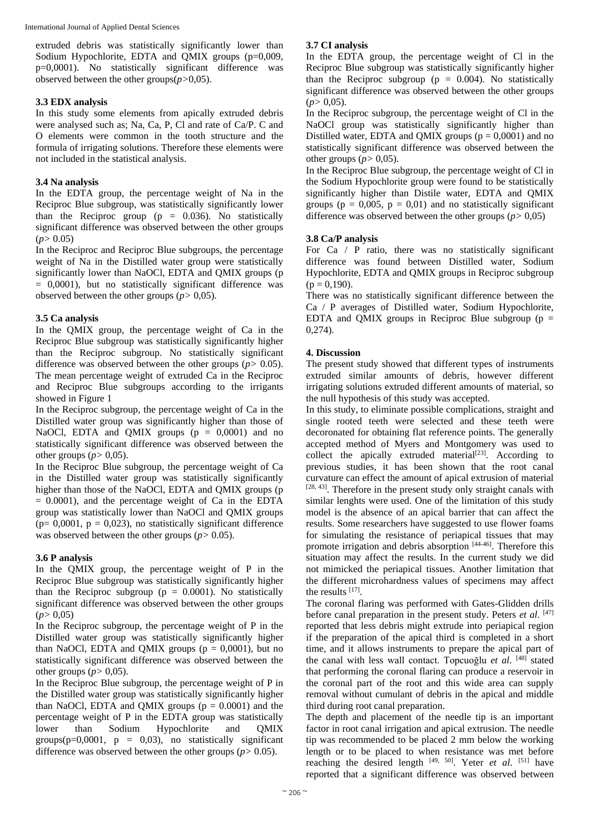extruded debris was statistically significantly lower than Sodium Hypochlorite, EDTA and QMIX groups (p=0,009, p=0,0001). No statistically significant difference was observed between the other groups(*p>*0,05).

### **3.3 EDX analysis**

In this study some elements from apically extruded debris were analysed such as; Na, Ca, P, Cl and rate of Ca/P. C and O elements were common in the tooth structure and the formula of irrigating solutions. Therefore these elements were not included in the statistical analysis.

## **3.4 Na analysis**

In the EDTA group, the percentage weight of Na in the Reciproc Blue subgroup, was statistically significantly lower than the Reciproc group ( $p = 0.036$ ). No statistically significant difference was observed between the other groups  $(p>0.05)$ 

In the Reciproc and Reciproc Blue subgroups, the percentage weight of Na in the Distilled water group were statistically significantly lower than NaOCl, EDTA and QMIX groups (p = 0,0001), but no statistically significant difference was observed between the other groups (*p>* 0,05).

# **3.5 Ca analysis**

In the QMIX group, the percentage weight of Ca in the Reciproc Blue subgroup was statistically significantly higher than the Reciproc subgroup. No statistically significant difference was observed between the other groups (*p>* 0.05). The mean percentage weight of extruded Ca in the Reciproc and Reciproc Blue subgroups according to the irrigants showed in Figure 1

In the Reciproc subgroup, the percentage weight of Ca in the Distilled water group was significantly higher than those of NaOCl, EDTA and QMIX groups  $(p = 0,0001)$  and no statistically significant difference was observed between the other groups  $(p>0,05)$ .

In the Reciproc Blue subgroup, the percentage weight of Ca in the Distilled water group was statistically significantly higher than those of the NaOCl, EDTA and OMIX groups (p  $= 0.0001$ , and the percentage weight of Ca in the EDTA group was statistically lower than NaOCl and QMIX groups  $(p= 0,0001, p = 0,023)$ , no statistically significant difference was observed between the other groups ( $p$  > 0.05).

# **3.6 P analysis**

In the QMIX group, the percentage weight of P in the Reciproc Blue subgroup was statistically significantly higher than the Reciproc subgroup ( $p = 0.0001$ ). No statistically significant difference was observed between the other groups  $(p>0.05)$ 

In the Reciproc subgroup, the percentage weight of P in the Distilled water group was statistically significantly higher than NaOCl, EDTA and QMIX groups  $(p = 0,0001)$ , but no statistically significant difference was observed between the other groups  $(p>0.05)$ .

In the Reciproc Blue subgroup, the percentage weight of P in the Distilled water group was statistically significantly higher than NaOCl, EDTA and OMIX groups  $(p = 0.0001)$  and the percentage weight of P in the EDTA group was statistically lower than Sodium Hypochlorite and QMIX groups( $p=0,0001$ ,  $p = 0,03$ ), no statistically significant difference was observed between the other groups (*p>* 0.05).

# **3.7 CI analysis**

In the EDTA group, the percentage weight of Cl in the Reciproc Blue subgroup was statistically significantly higher than the Reciproc subgroup ( $p = 0.004$ ). No statistically significant difference was observed between the other groups  $(p>0,05)$ .

In the Reciproc subgroup, the percentage weight of Cl in the NaOCl group was statistically significantly higher than Distilled water, EDTA and OMIX groups ( $p = 0.0001$ ) and no statistically significant difference was observed between the other groups  $(p>0,05)$ .

In the Reciproc Blue subgroup, the percentage weight of Cl in the Sodium Hypochlorite group were found to be statistically significantly higher than Distile water, EDTA and QMIX groups ( $p = 0.005$ ,  $p = 0.01$ ) and no statistically significant difference was observed between the other groups  $(p > 0.05)$ 

## **3.8 Ca/P analysis**

For Ca  $/$  P ratio, there was no statistically significant difference was found between Distilled water, Sodium Hypochlorite, EDTA and QMIX groups in Reciproc subgroup  $(p = 0.190)$ .

There was no statistically significant difference between the Ca / P averages of Distilled water, Sodium Hypochlorite, EDTA and QMIX groups in Reciproc Blue subgroup ( $p =$ 0,274).

# **4. Discussion**

The present study showed that different types of instruments extruded similar amounts of debris, however different irrigating solutions extruded different amounts of material, so the null hypothesis of this study was accepted.

In this study, to eliminate possible complications, straight and single rooted teeth were selected and these teeth were decoronated for obtaining flat reference points. The generally accepted method of Myers and Montgomery was used to collect the apically extruded material<sup>[23]</sup>. According to previous studies, it has been shown that the root canal curvature can effect the amount of apical extrusion of material  $[28, 43]$ . Therefore in the present study only straight canals with similar lenghts were used. One of the limitation of this study model is the absence of an apical barrier that can affect the results. Some researchers have suggested to use flower foams for simulating the resistance of periapical tissues that may promote irrigation and debris absorption [44-46]. Therefore this situation may affect the results. In the current study we did not mimicked the periapical tissues. Another limitation that the different microhardness values of specimens may affect the results [17] .

The coronal flaring was performed with Gates-Glidden drills before canal preparation in the present study. Peters *et al*. [47] reported that less debris might extrude into periapical region if the preparation of the apical third is completed in a short time, and it allows instruments to prepare the apical part of the canal with less wall contact. Topcuoğlu *et al*. [48] stated that performing the coronal flaring can produce a reservoir in the coronal part of the root and this wide area can supply removal without cumulant of debris in the apical and middle third during root canal preparation.

The depth and placement of the needle tip is an important factor in root canal irrigation and apical extrusion. The needle tip was recommended to be placed 2 mm below the working length or to be placed to when resistance was met before reaching the desired length [49, 50]. Yeter *et al*. [51] have reported that a significant difference was observed between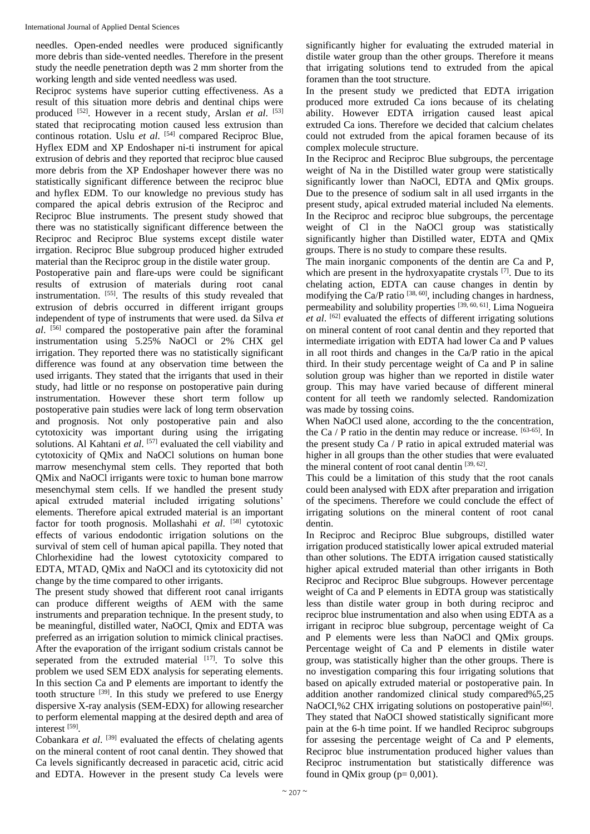needles. Open-ended needles were produced significantly more debris than side-vented needles. Therefore in the present study the needle penetration depth was 2 mm shorter from the working length and side vented needless was used.

Reciproc systems have superior cutting effectiveness. As a result of this situation more debris and dentinal chips were produced <sup>[52]</sup>. However in a recent study, Arslan *et al.* [53] stated that reciprocating motion caused less extrusion than continous rotation. Uslu *et al*. [54] compared Reciproc Blue, Hyflex EDM and XP Endoshaper ni-ti instrument for apical extrusion of debris and they reported that reciproc blue caused more debris from the XP Endoshaper however there was no statistically significant difference between the reciproc blue and hyflex EDM. To our knowledge no previous study has compared the apical debris extrusion of the Reciproc and Reciproc Blue instruments. The present study showed that there was no statistically significant difference between the Reciproc and Reciproc Blue systems except distile water irrgation. Reciproc Blue subgroup produced higher extruded material than the Reciproc group in the distile water group.

Postoperative pain and flare-ups were could be significant results of extrusion of materials during root canal instrumentation. [55]. The results of this study revealed that extrusion of debris occurred in different irrigant groups independent of type of instruments that were used. da Silva *et al*. [56] compared the postoperative pain after the foraminal instrumentation using 5.25% NaOCl or 2% CHX gel irrigation. They reported there was no statistically significant difference was found at any observation time between the used irrigants. They stated that the irrigants that used in their study, had little or no response on postoperative pain during instrumentation. However these short term follow up postoperative pain studies were lack of long term observation and prognosis. Not only postoperative pain and also cytotoxicity was important during using the irrigating solutions. Al Kahtani et al. [57] evaluated the cell viability and cytotoxicity of QMix and NaOCl solutions on human bone marrow mesenchymal stem cells. They reported that both QMix and NaOCl irrigants were toxic to human bone marrow mesenchymal stem cells. If we handled the present study apical extruded material included irrigating solutions' elements. Therefore apical extruded material is an important factor for tooth prognosis. Mollashahi *et al*. [58] cytotoxic effects of various endodontic irrigation solutions on the survival of stem cell of human apical papilla. They noted that Chlorhexidine had the lowest cytotoxicity compared to EDTA, MTAD, QMix and NaOCl and its cytotoxicity did not change by the time compared to other irrigants.

The present study showed that different root canal irrigants can produce different weigths of AEM with the same instruments and preparation technique. In the present study, to be meaningful, distilled water, NaOCI, Qmix and EDTA was preferred as an irrigation solution to mimick clinical practises. After the evaporation of the irrigant sodium cristals cannot be seperated from the extruded material  $[17]$ . To solve this problem we used SEM EDX analysis for seperating elements. In this section Ca and P elements are important to identfy the tooth structure  $[39]$ . In this study we prefered to use Energy dispersive X-ray analysis (SEM-EDX) for allowing researcher to perform elemental mapping at the desired depth and area of interest [59] .

Cobankara *et al.* <sup>[39]</sup> evaluated the effects of chelating agents on the mineral content of root canal dentin. They showed that Ca levels significantly decreased in paracetic acid, citric acid and EDTA. However in the present study Ca levels were

significantly higher for evaluating the extruded material in distile water group than the other groups. Therefore it means that irrigating solutions tend to extruded from the apical foramen than the toot structure.

In the present study we predicted that EDTA irrigation produced more extruded Ca ions because of its chelating ability. However EDTA irrigation caused least apical extruded Ca ions. Therefore we decided that calcium chelates could not extruded from the apical foramen because of its complex molecule structure.

In the Reciproc and Reciproc Blue subgroups, the percentage weight of Na in the Distilled water group were statistically significantly lower than NaOCl, EDTA and QMix groups. Due to the presence of sodium salt in all used irrgants in the present study, apical extruded material included Na elements. In the Reciproc and reciproc blue subgroups, the percentage weight of Cl in the NaOCl group was statistically significantly higher than Distilled water, EDTA and QMix groups. There is no study to compare these results.

The main inorganic components of the dentin are Ca and P, which are present in the hydroxyapatite crystals [7]. Due to its chelating action, EDTA can cause changes in dentin by modifying the Ca/P ratio  $[38, 60]$ , including changes in hardness, permeability and solubility properties [39, 60, 61]. Lima Nogueira *et al*. [62] evaluated the effects of different irrigating solutions on mineral content of root canal dentin and they reported that intermediate irrigation with EDTA had lower Ca and P values in all root thirds and changes in the Ca/P ratio in the apical third. In their study percentage weight of Ca and P in saline solution group was higher than we reported in distile water group. This may have varied because of different mineral content for all teeth we randomly selected. Randomization was made by tossing coins.

When NaOCl used alone, according to the the concentration, the Ca / P ratio in the dentin may reduce or increase. [63-65] . In the present study Ca / P ratio in apical extruded material was higher in all groups than the other studies that were evaluated the mineral content of root canal dentin [39, 62].

This could be a limitation of this study that the root canals could been analysed with EDX after preparation and irrigation of the specimens. Therefore we could conclude the effect of irrigating solutions on the mineral content of root canal dentin.

In Reciproc and Reciproc Blue subgroups, distilled water irrigation produced statistically lower apical extruded material than other solutions. The EDTA irrigation caused statistically higher apical extruded material than other irrigants in Both Reciproc and Reciproc Blue subgroups. However percentage weight of Ca and P elements in EDTA group was statistically less than distile water group in both during reciproc and reciproc blue instrumentation and also when using EDTA as a irrigant in reciproc blue subgroup, percentage weight of Ca and P elements were less than NaOCl and QMix groups. Percentage weight of Ca and P elements in distile water group, was statistically higher than the other groups. There is no investigation comparing this four irrigating solutions that based on apically extruded material or postoperative pain. In addition another randomized clinical study compared%5,25 NaOCI,%2 CHX irrigating solutions on postoperative pain<sup>[66]</sup>. They stated that NaOCI showed statistically significant more pain at the 6-h time point. If we handled Reciproc subgroups for assesing the percentage weight of Ca and P elements, Reciproc blue instrumentation produced higher values than Reciproc instrumentation but statistically difference was found in QMix group ( $p= 0,001$ ).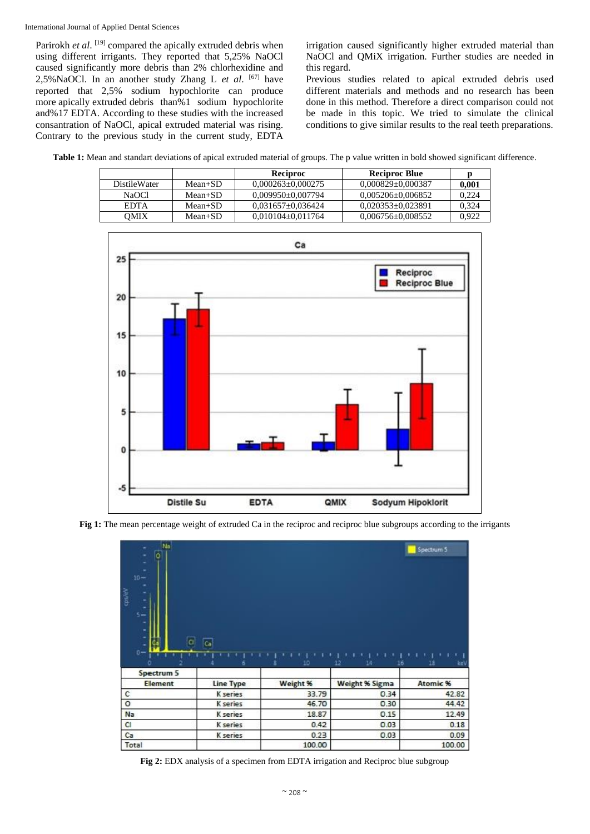International Journal of Applied Dental Sciences

Parirokh *et al*. <sup>[19]</sup> compared the apically extruded debris when using different irrigants. They reported that 5,25% NaOCl caused significantly more debris than 2% chlorhexidine and 2,5%NaOCl. In an another study Zhang L *et al*. [67] have reported that 2,5% sodium hypochlorite can produce more apically extruded debris than%1 sodium hypochlorite and%17 EDTA. According to these studies with the increased consantration of NaOCl, apical extruded material was rising. Contrary to the previous study in the current study, EDTA

irrigation caused significantly higher extruded material than NaOCl and QMiX irrigation. Further studies are needed in this regard.

Previous studies related to apical extruded debris used different materials and methods and no research has been done in this method. Therefore a direct comparison could not be made in this topic. We tried to simulate the clinical conditions to give similar results to the real teeth preparations.

**Table 1:** Mean and standart deviations of apical extruded material of groups. The p value written in bold showed significant difference.

|                     |           | <b>Reciproc</b>         | Reciproc Blue           |       |
|---------------------|-----------|-------------------------|-------------------------|-------|
| <b>DistileWater</b> | $Mean+SD$ | $0.000263 \pm 0.000275$ | $0.000829 \pm 0.000387$ | 0.001 |
| NaOCl               | $Mean+SD$ | $0.009950 \pm 0.007794$ | $0.005206 \pm 0.006852$ | 0.224 |
| <b>EDTA</b>         | $Mean+SD$ | $0.031657 \pm 0.036424$ | $0.020353 \pm 0.023891$ | 0.324 |
| OMIX                | $Mean+SD$ | $0.010104 \pm 0.011764$ | $0.006756 \pm 0.008552$ | 0.922 |





| Б<br>٠<br>$10 -$<br>cps/eV<br>۰<br>٠<br>51<br>۰<br>۳<br>٠<br>o | 同               |          |                       | Spectrum 5 |
|----------------------------------------------------------------|-----------------|----------|-----------------------|------------|
| $0 -$                                                          | 6               | 10<br>8  | 12<br>14<br>16        | 18<br>keV  |
| Spectrum 5                                                     |                 |          |                       |            |
| <b>Element</b>                                                 | Line Type       | Weight % | <b>Weight % Sigma</b> | Atomic %   |
| c                                                              | K series        | 33.79    | 0.34                  | 42.82      |
| o                                                              | <b>K</b> series | 46.70    | 0.30                  | 44.42      |
| Na                                                             | <b>K</b> series | 18.87    | 0.15                  | 12.49      |
| C1                                                             | <b>K</b> series | 0.42     | 0.03                  | 0.18       |
| Ca                                                             | K series        | 0.23     | 0.03                  | 0.09       |

**Fig 2:** EDX analysis of a specimen from EDTA irrigation and Reciproc blue subgroup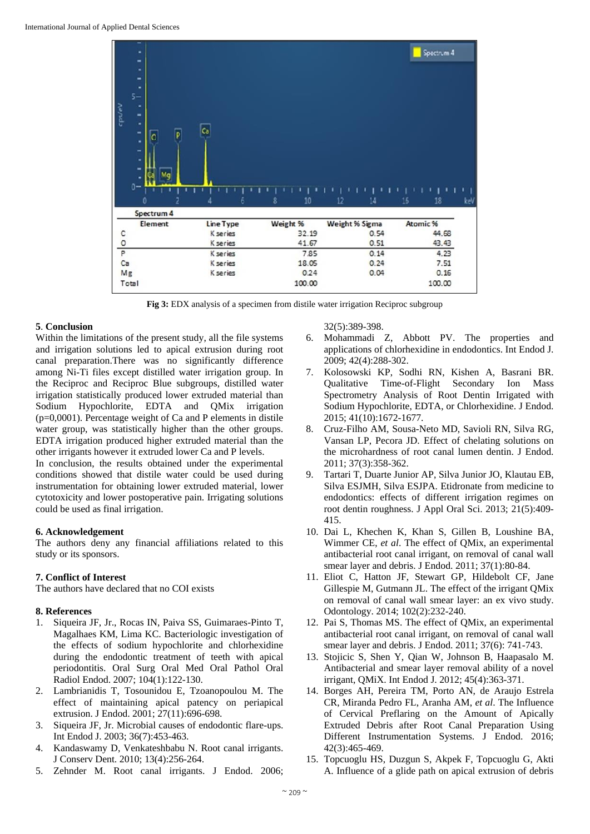

**Fig 3:** EDX analysis of a specimen from distile water irrigation Reciproc subgroup

#### **5**. **Conclusion**

Within the limitations of the present study, all the file systems and irrigation solutions led to apical extrusion during root canal preparation.There was no significantly difference among Ni-Ti files except distilled water irrigation group. In the Reciproc and Reciproc Blue subgroups, distilled water irrigation statistically produced lower extruded material than Sodium Hypochlorite, EDTA and QMix irrigation  $(p=0,0001)$ . Percentage weight of Ca and P elements in distile water group, was statistically higher than the other groups. EDTA irrigation produced higher extruded material than the other irrigants however it extruded lower Ca and P levels.

In conclusion, the results obtained under the experimental conditions showed that distile water could be used during instrumentation for obtaining lower extruded material, lower cytotoxicity and lower postoperative pain. Irrigating solutions could be used as final irrigation.

#### **6. Acknowledgement**

The authors deny any financial affiliations related to this study or its sponsors.

# **7. Conflict of Interest**

The authors have declared that no COI exists

#### **8. References**

- 1. Siqueira JF, Jr., Rocas IN, Paiva SS, Guimaraes-Pinto T, Magalhaes KM, Lima KC. Bacteriologic investigation of the effects of sodium hypochlorite and chlorhexidine during the endodontic treatment of teeth with apical periodontitis. Oral Surg Oral Med Oral Pathol Oral Radiol Endod. 2007; 104(1):122-130.
- 2. Lambrianidis T, Tosounidou E, Tzoanopoulou M. The effect of maintaining apical patency on periapical extrusion. J Endod. 2001; 27(11):696-698.
- 3. Siqueira JF, Jr. Microbial causes of endodontic flare-ups. Int Endod J. 2003; 36(7):453-463.
- 4. Kandaswamy D, Venkateshbabu N. Root canal irrigants. J Conserv Dent. 2010; 13(4):256-264.
- 5. Zehnder M. Root canal irrigants. J Endod. 2006;

32(5):389-398.

- 6. Mohammadi Z, Abbott PV. The properties and applications of chlorhexidine in endodontics. Int Endod J. 2009; 42(4):288-302.
- 7. Kolosowski KP, Sodhi RN, Kishen A, Basrani BR. Qualitative Time-of-Flight Secondary Ion Mass Spectrometry Analysis of Root Dentin Irrigated with Sodium Hypochlorite, EDTA, or Chlorhexidine. J Endod. 2015; 41(10):1672-1677.
- 8. Cruz-Filho AM, Sousa-Neto MD, Savioli RN, Silva RG, Vansan LP, Pecora JD. Effect of chelating solutions on the microhardness of root canal lumen dentin. J Endod. 2011; 37(3):358-362.
- 9. Tartari T, Duarte Junior AP, Silva Junior JO, Klautau EB, Silva ESJMH, Silva ESJPA. Etidronate from medicine to endodontics: effects of different irrigation regimes on root dentin roughness. J Appl Oral Sci. 2013; 21(5):409- 415.
- 10. Dai L, Khechen K, Khan S, Gillen B, Loushine BA, Wimmer CE, *et al*. The effect of QMix, an experimental antibacterial root canal irrigant, on removal of canal wall smear layer and debris. J Endod. 2011; 37(1):80-84.
- 11. Eliot C, Hatton JF, Stewart GP, Hildebolt CF, Jane Gillespie M, Gutmann JL. The effect of the irrigant QMix on removal of canal wall smear layer: an ex vivo study. Odontology. 2014; 102(2):232-240.
- 12. Pai S, Thomas MS. The effect of QMix, an experimental antibacterial root canal irrigant, on removal of canal wall smear layer and debris. J Endod. 2011; 37(6): 741-743.
- 13. Stojicic S, Shen Y, Qian W, Johnson B, Haapasalo M. Antibacterial and smear layer removal ability of a novel irrigant, QMiX. Int Endod J. 2012; 45(4):363-371.
- 14. Borges AH, Pereira TM, Porto AN, de Araujo Estrela CR, Miranda Pedro FL, Aranha AM, *et al*. The Influence of Cervical Preflaring on the Amount of Apically Extruded Debris after Root Canal Preparation Using Different Instrumentation Systems. J Endod. 2016; 42(3):465-469.
- 15. Topcuoglu HS, Duzgun S, Akpek F, Topcuoglu G, Akti A. Influence of a glide path on apical extrusion of debris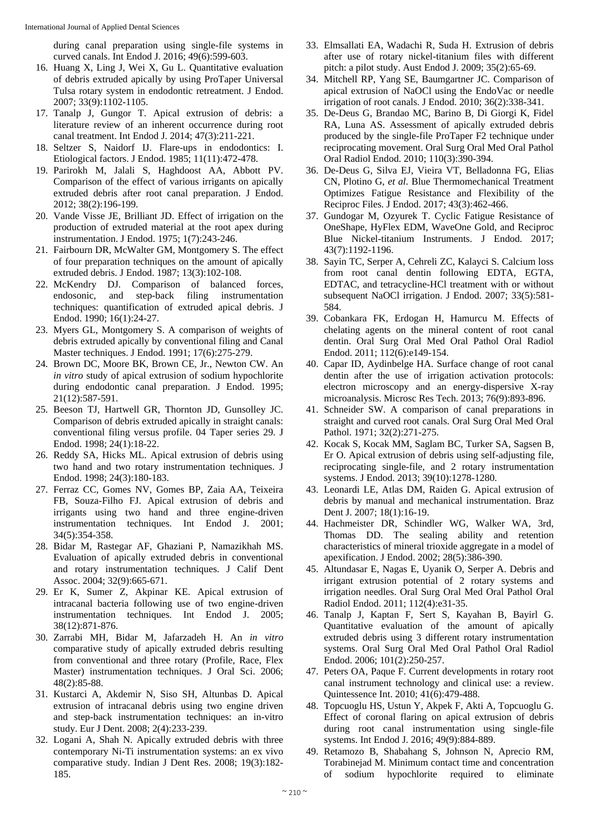during canal preparation using single-file systems in curved canals. Int Endod J. 2016; 49(6):599-603.

- 16. Huang X, Ling J, Wei X, Gu L. Quantitative evaluation of debris extruded apically by using ProTaper Universal Tulsa rotary system in endodontic retreatment. J Endod. 2007; 33(9):1102-1105.
- 17. Tanalp J, Gungor T. Apical extrusion of debris: a literature review of an inherent occurrence during root canal treatment. Int Endod J. 2014; 47(3):211-221.
- 18. Seltzer S, Naidorf IJ. Flare-ups in endodontics: I. Etiological factors. J Endod. 1985; 11(11):472-478.
- 19. Parirokh M, Jalali S, Haghdoost AA, Abbott PV. Comparison of the effect of various irrigants on apically extruded debris after root canal preparation. J Endod. 2012; 38(2):196-199.
- 20. Vande Visse JE, Brilliant JD. Effect of irrigation on the production of extruded material at the root apex during instrumentation. J Endod. 1975; 1(7):243-246.
- 21. Fairbourn DR, McWalter GM, Montgomery S. The effect of four preparation techniques on the amount of apically extruded debris. J Endod. 1987; 13(3):102-108.
- 22. McKendry DJ. Comparison of balanced forces, endosonic, and step-back filing instrumentation techniques: quantification of extruded apical debris. J Endod. 1990; 16(1):24-27.
- 23. Myers GL, Montgomery S. A comparison of weights of debris extruded apically by conventional filing and Canal Master techniques. J Endod. 1991; 17(6):275-279.
- 24. Brown DC, Moore BK, Brown CE, Jr., Newton CW. An *in vitro* study of apical extrusion of sodium hypochlorite during endodontic canal preparation. J Endod. 1995; 21(12):587-591.
- 25. Beeson TJ, Hartwell GR, Thornton JD, Gunsolley JC. Comparison of debris extruded apically in straight canals: conventional filing versus profile. 04 Taper series 29. J Endod. 1998; 24(1):18-22.
- 26. Reddy SA, Hicks ML. Apical extrusion of debris using two hand and two rotary instrumentation techniques. J Endod. 1998; 24(3):180-183.
- 27. Ferraz CC, Gomes NV, Gomes BP, Zaia AA, Teixeira FB, Souza-Filho FJ. Apical extrusion of debris and irrigants using two hand and three engine-driven instrumentation techniques. Int Endod J. 2001; 34(5):354-358.
- 28. Bidar M, Rastegar AF, Ghaziani P, Namazikhah MS. Evaluation of apically extruded debris in conventional and rotary instrumentation techniques. J Calif Dent Assoc. 2004; 32(9):665-671.
- 29. Er K, Sumer Z, Akpinar KE. Apical extrusion of intracanal bacteria following use of two engine-driven instrumentation techniques. Int Endod J. 2005; 38(12):871-876.
- 30. Zarrabi MH, Bidar M, Jafarzadeh H. An *in vitro* comparative study of apically extruded debris resulting from conventional and three rotary (Profile, Race, Flex Master) instrumentation techniques. J Oral Sci. 2006; 48(2):85-88.
- 31. Kustarci A, Akdemir N, Siso SH, Altunbas D. Apical extrusion of intracanal debris using two engine driven and step-back instrumentation techniques: an in-vitro study. Eur J Dent. 2008; 2(4):233-239.
- 32. Logani A, Shah N. Apically extruded debris with three contemporary Ni-Ti instrumentation systems: an ex vivo comparative study. Indian J Dent Res. 2008; 19(3):182- 185.
- 33. Elmsallati EA, Wadachi R, Suda H. Extrusion of debris after use of rotary nickel-titanium files with different pitch: a pilot study. Aust Endod J. 2009; 35(2):65-69.
- 34. Mitchell RP, Yang SE, Baumgartner JC. Comparison of apical extrusion of NaOCl using the EndoVac or needle irrigation of root canals. J Endod. 2010; 36(2):338-341.
- 35. De-Deus G, Brandao MC, Barino B, Di Giorgi K, Fidel RA, Luna AS. Assessment of apically extruded debris produced by the single-file ProTaper F2 technique under reciprocating movement. Oral Surg Oral Med Oral Pathol Oral Radiol Endod. 2010; 110(3):390-394.
- 36. De-Deus G, Silva EJ, Vieira VT, Belladonna FG, Elias CN, Plotino G, *et al*. Blue Thermomechanical Treatment Optimizes Fatigue Resistance and Flexibility of the Reciproc Files. J Endod. 2017; 43(3):462-466.
- 37. Gundogar M, Ozyurek T. Cyclic Fatigue Resistance of OneShape, HyFlex EDM, WaveOne Gold, and Reciproc Blue Nickel-titanium Instruments. J Endod. 2017; 43(7):1192-1196.
- 38. Sayin TC, Serper A, Cehreli ZC, Kalayci S. Calcium loss from root canal dentin following EDTA, EGTA, EDTAC, and tetracycline-HCl treatment with or without subsequent NaOCl irrigation. J Endod. 2007; 33(5):581- 584.
- 39. Cobankara FK, Erdogan H, Hamurcu M. Effects of chelating agents on the mineral content of root canal dentin. Oral Surg Oral Med Oral Pathol Oral Radiol Endod. 2011; 112(6):e149-154.
- 40. Capar ID, Aydinbelge HA. Surface change of root canal dentin after the use of irrigation activation protocols: electron microscopy and an energy-dispersive X-ray microanalysis. Microsc Res Tech. 2013; 76(9):893-896.
- 41. Schneider SW. A comparison of canal preparations in straight and curved root canals. Oral Surg Oral Med Oral Pathol. 1971; 32(2):271-275.
- 42. Kocak S, Kocak MM, Saglam BC, Turker SA, Sagsen B, Er O. Apical extrusion of debris using self-adjusting file, reciprocating single-file, and 2 rotary instrumentation systems. J Endod. 2013; 39(10):1278-1280.
- 43. Leonardi LE, Atlas DM, Raiden G. Apical extrusion of debris by manual and mechanical instrumentation. Braz Dent J. 2007; 18(1):16-19.
- 44. Hachmeister DR, Schindler WG, Walker WA, 3rd, Thomas DD. The sealing ability and retention characteristics of mineral trioxide aggregate in a model of apexification. J Endod. 2002; 28(5):386-390.
- 45. Altundasar E, Nagas E, Uyanik O, Serper A. Debris and irrigant extrusion potential of 2 rotary systems and irrigation needles. Oral Surg Oral Med Oral Pathol Oral Radiol Endod. 2011; 112(4):e31-35.
- 46. Tanalp J, Kaptan F, Sert S, Kayahan B, Bayirl G. Quantitative evaluation of the amount of apically extruded debris using 3 different rotary instrumentation systems. Oral Surg Oral Med Oral Pathol Oral Radiol Endod. 2006; 101(2):250-257.
- 47. Peters OA, Paque F. Current developments in rotary root canal instrument technology and clinical use: a review. Quintessence Int. 2010; 41(6):479-488.
- 48. Topcuoglu HS, Ustun Y, Akpek F, Akti A, Topcuoglu G. Effect of coronal flaring on apical extrusion of debris during root canal instrumentation using single-file systems. Int Endod J. 2016; 49(9):884-889.
- 49. Retamozo B, Shabahang S, Johnson N, Aprecio RM, Torabinejad M. Minimum contact time and concentration of sodium hypochlorite required to eliminate